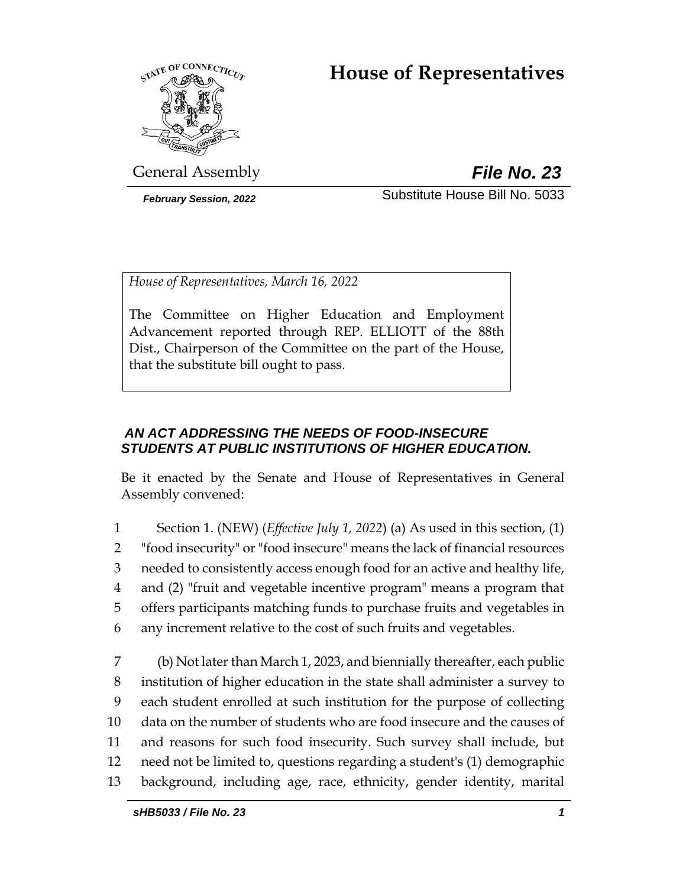# **House of Representatives**



General Assembly *File No. 23*

*February Session, 2022* Substitute House Bill No. 5033

*House of Representatives, March 16, 2022*

The Committee on Higher Education and Employment Advancement reported through REP. ELLIOTT of the 88th Dist., Chairperson of the Committee on the part of the House, that the substitute bill ought to pass.

# *AN ACT ADDRESSING THE NEEDS OF FOOD-INSECURE STUDENTS AT PUBLIC INSTITUTIONS OF HIGHER EDUCATION.*

Be it enacted by the Senate and House of Representatives in General Assembly convened:

 Section 1. (NEW) (*Effective July 1, 2022*) (a) As used in this section, (1) "food insecurity" or "food insecure" means the lack of financial resources needed to consistently access enough food for an active and healthy life, and (2) "fruit and vegetable incentive program" means a program that offers participants matching funds to purchase fruits and vegetables in any increment relative to the cost of such fruits and vegetables.

 (b) Not later than March 1, 2023, and biennially thereafter, each public institution of higher education in the state shall administer a survey to each student enrolled at such institution for the purpose of collecting data on the number of students who are food insecure and the causes of and reasons for such food insecurity. Such survey shall include, but need not be limited to, questions regarding a student's (1) demographic background, including age, race, ethnicity, gender identity, marital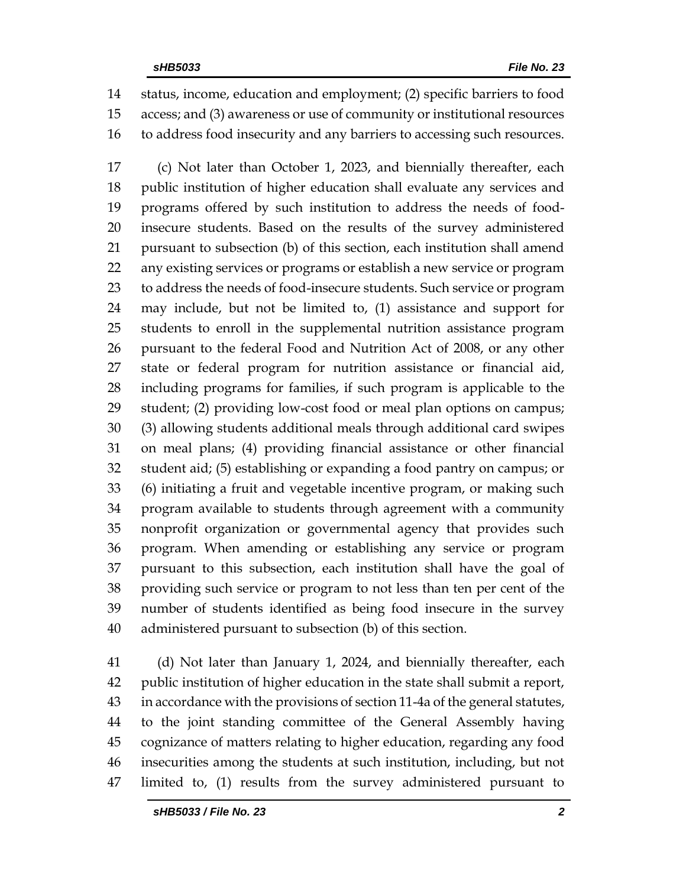status, income, education and employment; (2) specific barriers to food access; and (3) awareness or use of community or institutional resources to address food insecurity and any barriers to accessing such resources.

 (c) Not later than October 1, 2023, and biennially thereafter, each public institution of higher education shall evaluate any services and programs offered by such institution to address the needs of food- insecure students. Based on the results of the survey administered pursuant to subsection (b) of this section, each institution shall amend any existing services or programs or establish a new service or program to address the needs of food-insecure students. Such service or program may include, but not be limited to, (1) assistance and support for students to enroll in the supplemental nutrition assistance program pursuant to the federal Food and Nutrition Act of 2008, or any other state or federal program for nutrition assistance or financial aid, including programs for families, if such program is applicable to the student; (2) providing low-cost food or meal plan options on campus; (3) allowing students additional meals through additional card swipes on meal plans; (4) providing financial assistance or other financial student aid; (5) establishing or expanding a food pantry on campus; or (6) initiating a fruit and vegetable incentive program, or making such program available to students through agreement with a community nonprofit organization or governmental agency that provides such program. When amending or establishing any service or program pursuant to this subsection, each institution shall have the goal of providing such service or program to not less than ten per cent of the number of students identified as being food insecure in the survey administered pursuant to subsection (b) of this section.

 (d) Not later than January 1, 2024, and biennially thereafter, each public institution of higher education in the state shall submit a report, in accordance with the provisions of section 11-4a of the general statutes, to the joint standing committee of the General Assembly having cognizance of matters relating to higher education, regarding any food insecurities among the students at such institution, including, but not limited to, (1) results from the survey administered pursuant to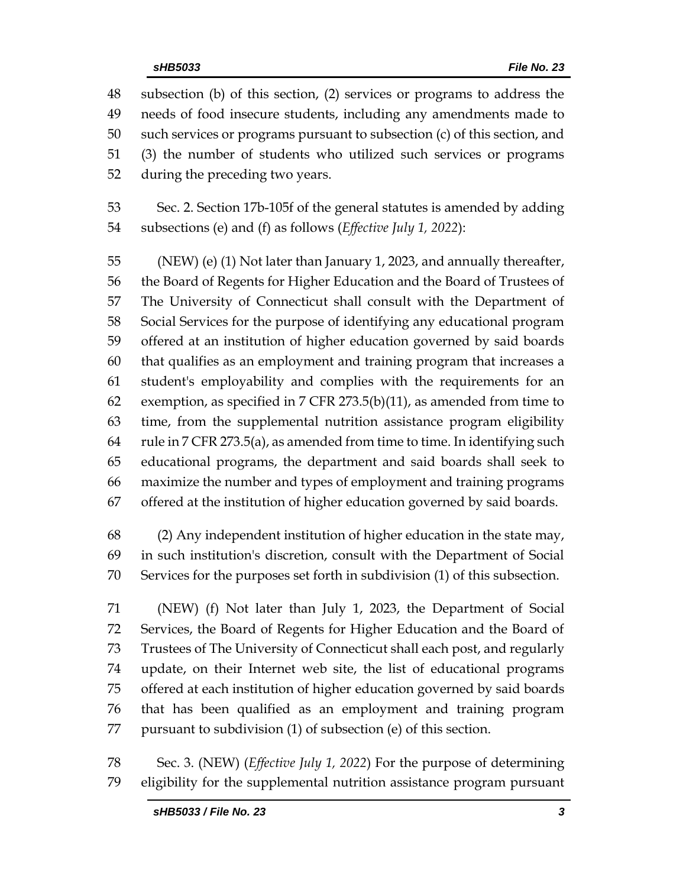subsection (b) of this section, (2) services or programs to address the needs of food insecure students, including any amendments made to such services or programs pursuant to subsection (c) of this section, and (3) the number of students who utilized such services or programs during the preceding two years.

 Sec. 2. Section 17b-105f of the general statutes is amended by adding subsections (e) and (f) as follows (*Effective July 1, 2022*):

 (NEW) (e) (1) Not later than January 1, 2023, and annually thereafter, the Board of Regents for Higher Education and the Board of Trustees of The University of Connecticut shall consult with the Department of Social Services for the purpose of identifying any educational program offered at an institution of higher education governed by said boards that qualifies as an employment and training program that increases a student's employability and complies with the requirements for an exemption, as specified in 7 CFR 273.5(b)(11), as amended from time to time, from the supplemental nutrition assistance program eligibility rule in 7 CFR 273.5(a), as amended from time to time. In identifying such educational programs, the department and said boards shall seek to maximize the number and types of employment and training programs offered at the institution of higher education governed by said boards.

 (2) Any independent institution of higher education in the state may, in such institution's discretion, consult with the Department of Social Services for the purposes set forth in subdivision (1) of this subsection.

 (NEW) (f) Not later than July 1, 2023, the Department of Social Services, the Board of Regents for Higher Education and the Board of Trustees of The University of Connecticut shall each post, and regularly update, on their Internet web site, the list of educational programs offered at each institution of higher education governed by said boards that has been qualified as an employment and training program pursuant to subdivision (1) of subsection (e) of this section.

 Sec. 3. (NEW) (*Effective July 1, 2022*) For the purpose of determining eligibility for the supplemental nutrition assistance program pursuant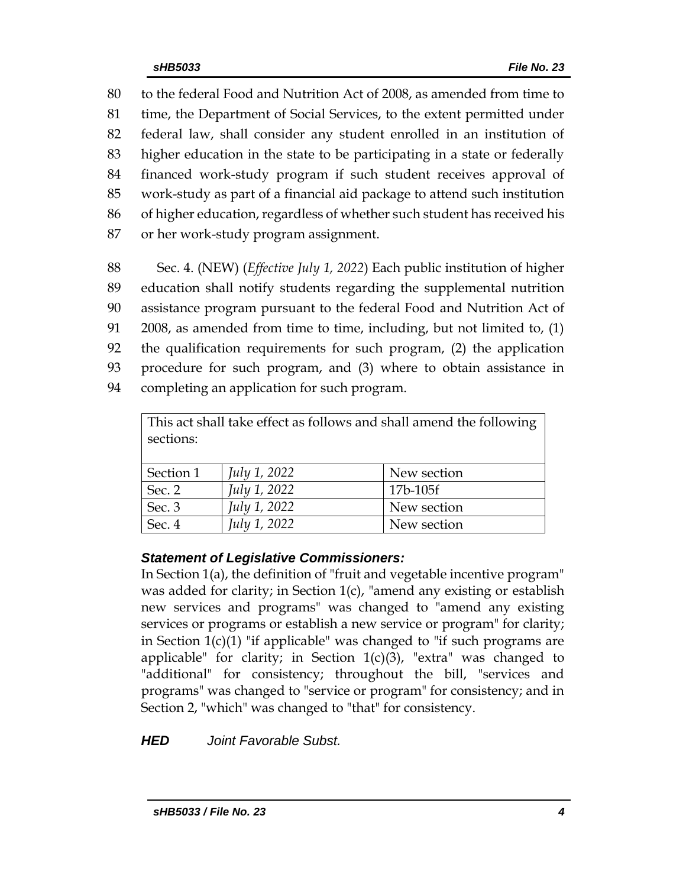to the federal Food and Nutrition Act of 2008, as amended from time to time, the Department of Social Services, to the extent permitted under federal law, shall consider any student enrolled in an institution of higher education in the state to be participating in a state or federally financed work-study program if such student receives approval of work-study as part of a financial aid package to attend such institution of higher education, regardless of whether such student has received his or her work-study program assignment.

 Sec. 4. (NEW) (*Effective July 1, 2022*) Each public institution of higher education shall notify students regarding the supplemental nutrition assistance program pursuant to the federal Food and Nutrition Act of 2008, as amended from time to time, including, but not limited to, (1) the qualification requirements for such program, (2) the application procedure for such program, and (3) where to obtain assistance in completing an application for such program.

This act shall take effect as follows and shall amend the following sections: Section 1 *July 1, 2022* New section Sec. 2 *July 1, 2022* 17b-105f Sec. 3 *July 1, 2022* New section Sec. 4 *July 1, 2022* New section

### *Statement of Legislative Commissioners:*

In Section 1(a), the definition of "fruit and vegetable incentive program" was added for clarity; in Section 1(c), "amend any existing or establish new services and programs" was changed to "amend any existing services or programs or establish a new service or program" for clarity; in Section 1(c)(1) "if applicable" was changed to "if such programs are applicable" for clarity; in Section  $1(c)(3)$ , "extra" was changed to "additional" for consistency; throughout the bill, "services and programs" was changed to "service or program" for consistency; and in Section 2, "which" was changed to "that" for consistency.

*HED Joint Favorable Subst.*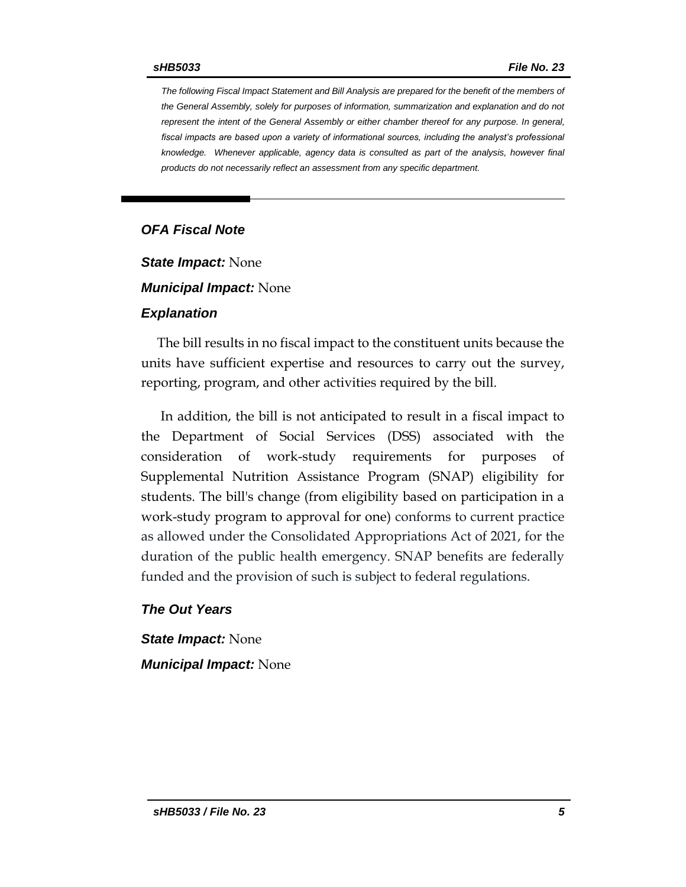*The following Fiscal Impact Statement and Bill Analysis are prepared for the benefit of the members of the General Assembly, solely for purposes of information, summarization and explanation and do not represent the intent of the General Assembly or either chamber thereof for any purpose. In general,*  fiscal impacts are based upon a variety of informational sources, including the analyst's professional *knowledge. Whenever applicable, agency data is consulted as part of the analysis, however final products do not necessarily reflect an assessment from any specific department.*

#### *OFA Fiscal Note*

*State Impact:* None

*Municipal Impact:* None

#### *Explanation*

The bill results in no fiscal impact to the constituent units because the units have sufficient expertise and resources to carry out the survey, reporting, program, and other activities required by the bill.

In addition, the bill is not anticipated to result in a fiscal impact to the Department of Social Services (DSS) associated with the consideration of work-study requirements for purposes of Supplemental Nutrition Assistance Program (SNAP) eligibility for students. The bill's change (from eligibility based on participation in a work-study program to approval for one) conforms to current practice as allowed under the Consolidated Appropriations Act of 2021, for the duration of the public health emergency. SNAP benefits are federally funded and the provision of such is subject to federal regulations.

#### *The Out Years*

*State Impact:* None *Municipal Impact:* None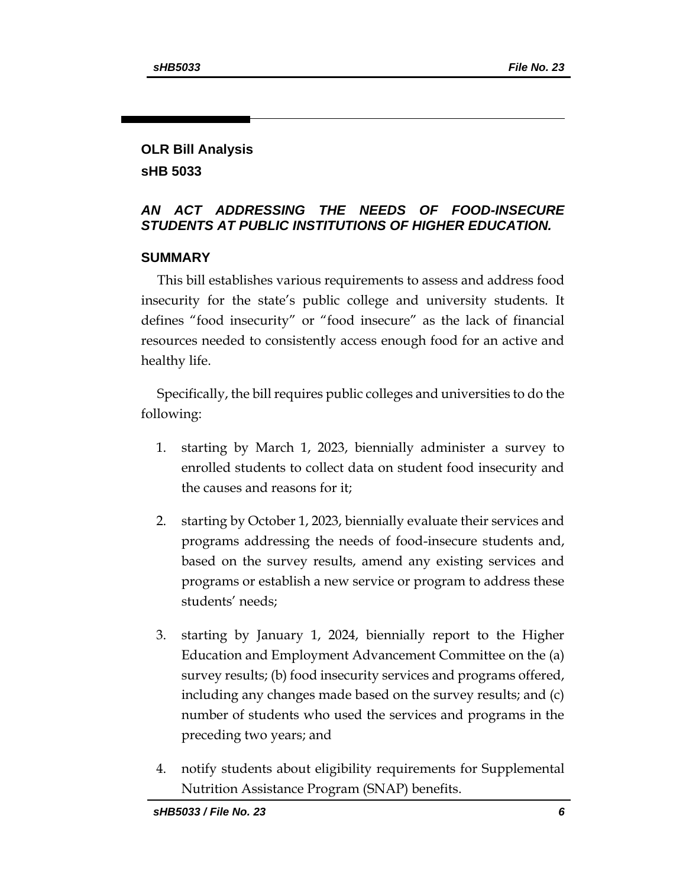## **OLR Bill Analysis sHB 5033**

## *AN ACT ADDRESSING THE NEEDS OF FOOD-INSECURE STUDENTS AT PUBLIC INSTITUTIONS OF HIGHER EDUCATION.*

### **SUMMARY**

This bill establishes various requirements to assess and address food insecurity for the state's public college and university students. It defines "food insecurity" or "food insecure" as the lack of financial resources needed to consistently access enough food for an active and healthy life.

Specifically, the bill requires public colleges and universities to do the following:

- 1. starting by March 1, 2023, biennially administer a survey to enrolled students to collect data on student food insecurity and the causes and reasons for it;
- 2. starting by October 1, 2023, biennially evaluate their services and programs addressing the needs of food-insecure students and, based on the survey results, amend any existing services and programs or establish a new service or program to address these students' needs;
- 3. starting by January 1, 2024, biennially report to the Higher Education and Employment Advancement Committee on the (a) survey results; (b) food insecurity services and programs offered, including any changes made based on the survey results; and (c) number of students who used the services and programs in the preceding two years; and
- 4. notify students about eligibility requirements for Supplemental Nutrition Assistance Program (SNAP) benefits.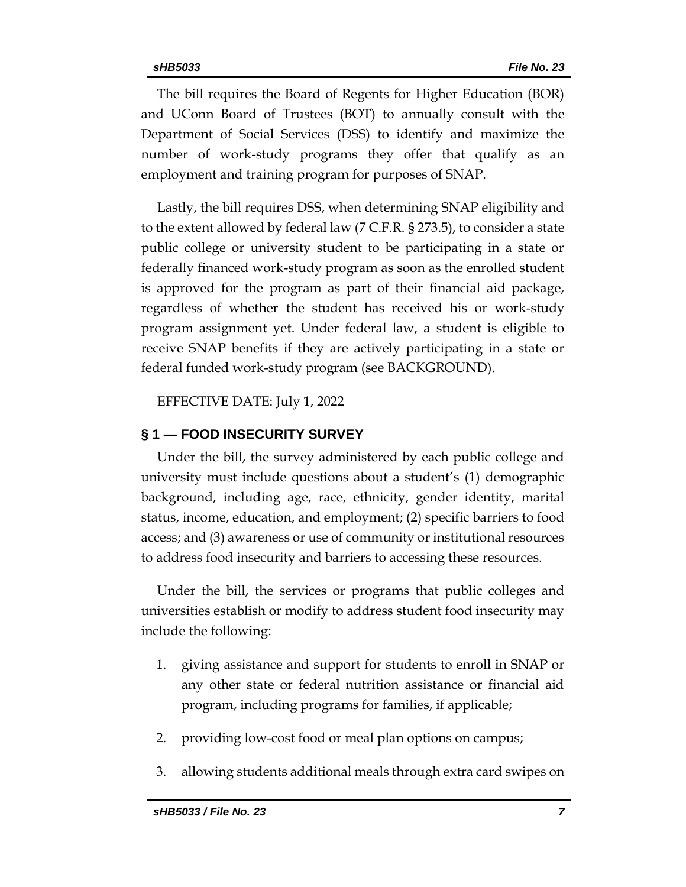The bill requires the Board of Regents for Higher Education (BOR) and UConn Board of Trustees (BOT) to annually consult with the Department of Social Services (DSS) to identify and maximize the number of work-study programs they offer that qualify as an employment and training program for purposes of SNAP.

Lastly, the bill requires DSS, when determining SNAP eligibility and to the extent allowed by federal law (7 C.F.R. § 273.5), to consider a state public college or university student to be participating in a state or federally financed work-study program as soon as the enrolled student is approved for the program as part of their financial aid package, regardless of whether the student has received his or work-study program assignment yet. Under federal law, a student is eligible to receive SNAP benefits if they are actively participating in a state or federal funded work-study program (see BACKGROUND).

EFFECTIVE DATE: July 1, 2022

#### **§ 1 — FOOD INSECURITY SURVEY**

Under the bill, the survey administered by each public college and university must include questions about a student's (1) demographic background, including age, race, ethnicity, gender identity, marital status, income, education, and employment; (2) specific barriers to food access; and (3) awareness or use of community or institutional resources to address food insecurity and barriers to accessing these resources.

Under the bill, the services or programs that public colleges and universities establish or modify to address student food insecurity may include the following:

- 1. giving assistance and support for students to enroll in SNAP or any other state or federal nutrition assistance or financial aid program, including programs for families, if applicable;
- 2. providing low-cost food or meal plan options on campus;
- 3. allowing students additional meals through extra card swipes on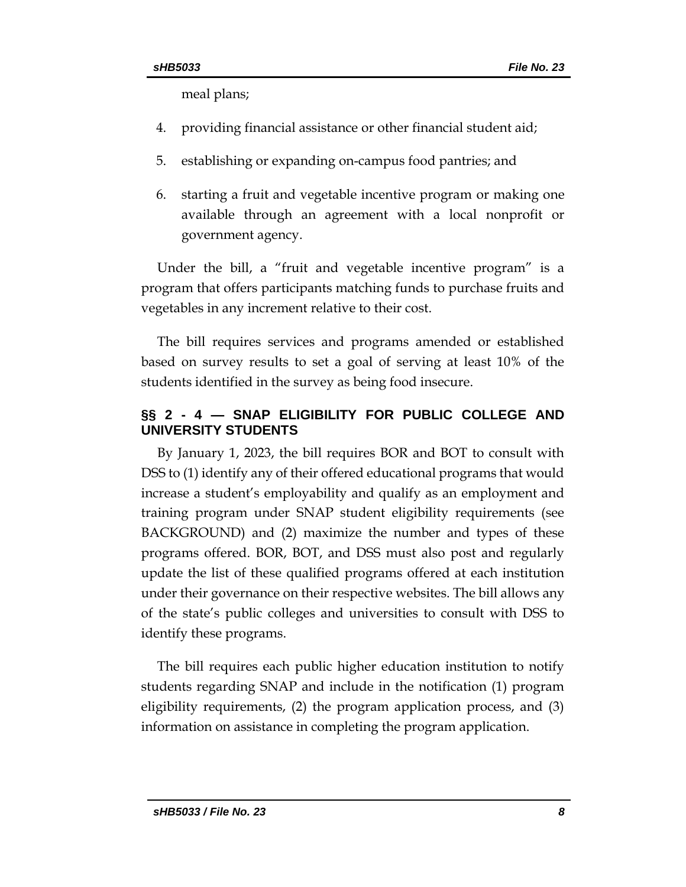meal plans;

- 4. providing financial assistance or other financial student aid;
- 5. establishing or expanding on-campus food pantries; and
- 6. starting a fruit and vegetable incentive program or making one available through an agreement with a local nonprofit or government agency.

Under the bill, a "fruit and vegetable incentive program" is a program that offers participants matching funds to purchase fruits and vegetables in any increment relative to their cost.

The bill requires services and programs amended or established based on survey results to set a goal of serving at least 10% of the students identified in the survey as being food insecure.

#### **§§ 2 - 4 — SNAP ELIGIBILITY FOR PUBLIC COLLEGE AND UNIVERSITY STUDENTS**

By January 1, 2023, the bill requires BOR and BOT to consult with DSS to (1) identify any of their offered educational programs that would increase a student's employability and qualify as an employment and training program under SNAP student eligibility requirements (see BACKGROUND) and (2) maximize the number and types of these programs offered. BOR, BOT, and DSS must also post and regularly update the list of these qualified programs offered at each institution under their governance on their respective websites. The bill allows any of the state's public colleges and universities to consult with DSS to identify these programs.

The bill requires each public higher education institution to notify students regarding SNAP and include in the notification (1) program eligibility requirements, (2) the program application process, and (3) information on assistance in completing the program application.